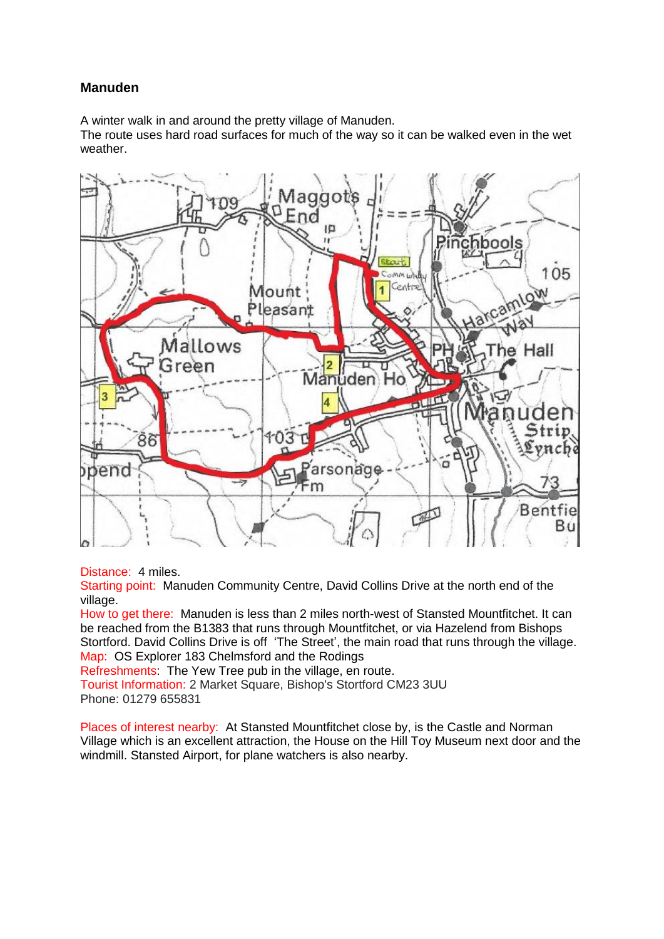## **Manuden**

A winter walk in and around the pretty village of Manuden.

The route uses hard road surfaces for much of the way so it can be walked even in the wet weather.



Distance: 4 miles.

Starting point: Manuden Community Centre, David Collins Drive at the north end of the village.

How to get there: Manuden is less than 2 miles north-west of Stansted Mountfitchet. It can be reached from the B1383 that runs through Mountfitchet, or via Hazelend from Bishops Stortford. David Collins Drive is off 'The Street', the main road that runs through the village. Map: OS Explorer 183 Chelmsford and the Rodings

Refreshments: The Yew Tree pub in the village, en route.

Tourist Information: 2 Market Square, Bishop's Stortford CM23 3UU Phone: 01279 655831

Places of interest nearby: At Stansted Mountfitchet close by, is the Castle and Norman Village which is an excellent attraction, the House on the Hill Toy Museum next door and the windmill. Stansted Airport, for plane watchers is also nearby.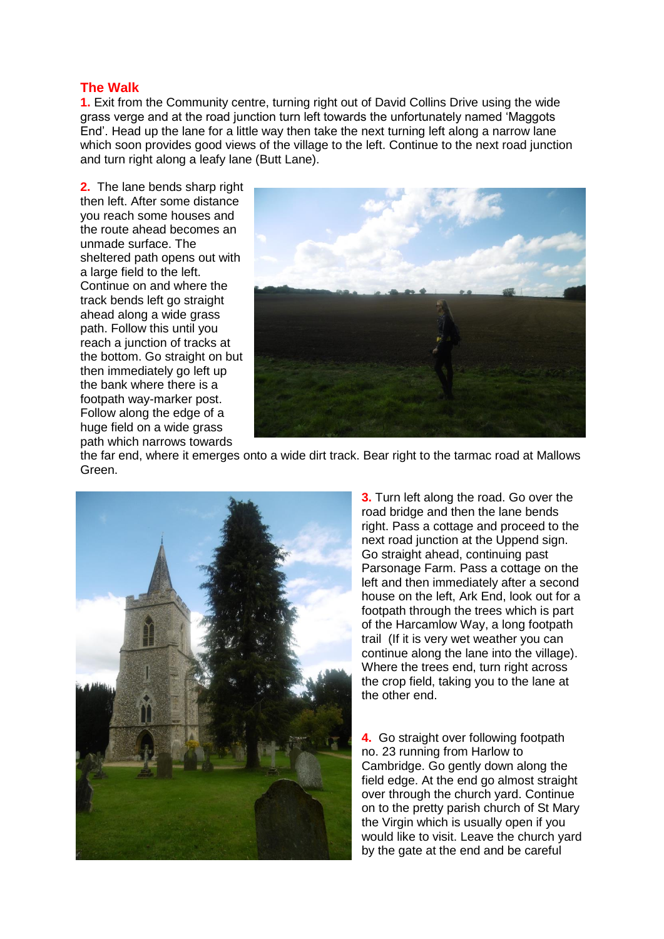## **The Walk**

**1.** Exit from the Community centre, turning right out of David Collins Drive using the wide grass verge and at the road junction turn left towards the unfortunately named 'Maggots End'. Head up the lane for a little way then take the next turning left along a narrow lane which soon provides good views of the village to the left. Continue to the next road junction and turn right along a leafy lane (Butt Lane).

**2.** The lane bends sharp right then left. After some distance you reach some houses and the route ahead becomes an unmade surface. The sheltered path opens out with a large field to the left. Continue on and where the track bends left go straight ahead along a wide grass path. Follow this until you reach a junction of tracks at the bottom. Go straight on but then immediately go left up the bank where there is a footpath way-marker post. Follow along the edge of a huge field on a wide grass path which narrows towards



the far end, where it emerges onto a wide dirt track. Bear right to the tarmac road at Mallows Green.



**3.** Turn left along the road. Go over the road bridge and then the lane bends right. Pass a cottage and proceed to the next road junction at the Uppend sign. Go straight ahead, continuing past Parsonage Farm. Pass a cottage on the left and then immediately after a second house on the left, Ark End, look out for a footpath through the trees which is part of the Harcamlow Way, a long footpath trail (If it is very wet weather you can continue along the lane into the village). Where the trees end, turn right across the crop field, taking you to the lane at the other end.

**4.** Go straight over following footpath no. 23 running from Harlow to Cambridge. Go gently down along the field edge. At the end go almost straight over through the church yard. Continue on to the pretty parish church of St Mary the Virgin which is usually open if you would like to visit. Leave the church yard by the gate at the end and be careful